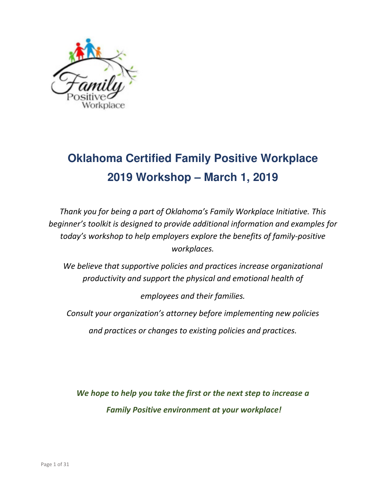

## **Oklahoma Certified Family Positive Workplace 2019 Workshop – March 1, 2019**

*Thank you for being a part of Oklahoma's Family Workplace Initiative. This beginner's toolkit is designed to provide additional information and examples for today's workshop to help employers explore the benefits of family-positive workplaces.* 

*We believe that supportive policies and practices increase organizational productivity and support the physical and emotional health of* 

*employees and their families.* 

*Consult your organization's attorney before implementing new policies* 

*and practices or changes to existing policies and practices.* 

*We hope to help you take the first or the next step to increase a Family Positive environment at your workplace!*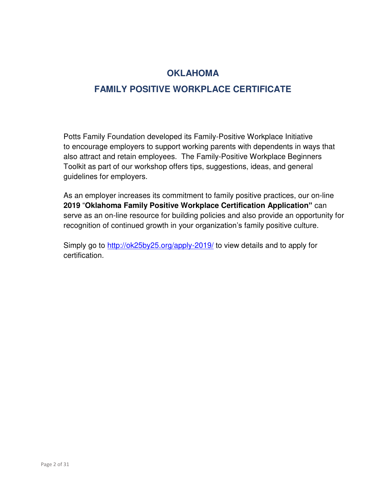## **OKLAHOMA**

#### **FAMILY POSITIVE WORKPLACE CERTIFICATE**

Potts Family Foundation developed its Family-Positive Workplace Initiative to encourage employers to support working parents with dependents in ways that also attract and retain employees. The Family-Positive Workplace Beginners Toolkit as part of our workshop offers tips, suggestions, ideas, and general guidelines for employers.

As an employer increases its commitment to family positive practices, our on-line **2019** "**Oklahoma Family Positive Workplace Certification Application"** can serve as an on-line resource for building policies and also provide an opportunity for recognition of continued growth in your organization's family positive culture.

Simply go to<http://ok25by25.org/apply-2019/> to view details and to apply for certification.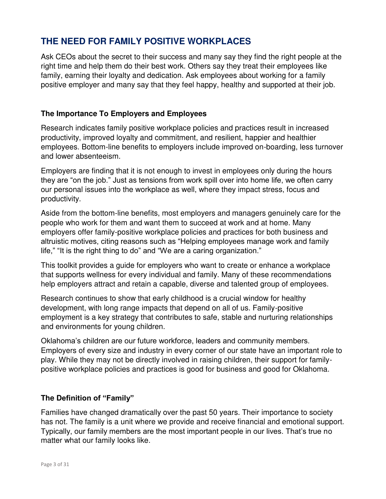#### **THE NEED FOR FAMILY POSITIVE WORKPLACES**

Ask CEOs about the secret to their success and many say they find the right people at the right time and help them do their best work. Others say they treat their employees like family, earning their loyalty and dedication. Ask employees about working for a family positive employer and many say that they feel happy, healthy and supported at their job.

#### **The Importance To Employers and Employees**

Research indicates family positive workplace policies and practices result in increased productivity, improved loyalty and commitment, and resilient, happier and healthier employees. Bottom-line benefits to employers include improved on-boarding, less turnover and lower absenteeism.

Employers are finding that it is not enough to invest in employees only during the hours they are "on the job." Just as tensions from work spill over into home life, we often carry our personal issues into the workplace as well, where they impact stress, focus and productivity.

Aside from the bottom-line benefits, most employers and managers genuinely care for the people who work for them and want them to succeed at work and at home. Many employers offer family-positive workplace policies and practices for both business and altruistic motives, citing reasons such as "Helping employees manage work and family life," "It is the right thing to do" and "We are a caring organization."

This toolkit provides a guide for employers who want to create or enhance a workplace that supports wellness for every individual and family. Many of these recommendations help employers attract and retain a capable, diverse and talented group of employees.

Research continues to show that early childhood is a crucial window for healthy development, with long range impacts that depend on all of us. Family-positive employment is a key strategy that contributes to safe, stable and nurturing relationships and environments for young children.

Oklahoma's children are our future workforce, leaders and community members. Employers of every size and industry in every corner of our state have an important role to play. While they may not be directly involved in raising children, their support for familypositive workplace policies and practices is good for business and good for Oklahoma.

#### **The Definition of "Family"**

Families have changed dramatically over the past 50 years. Their importance to society has not. The family is a unit where we provide and receive financial and emotional support. Typically, our family members are the most important people in our lives. That's true no matter what our family looks like.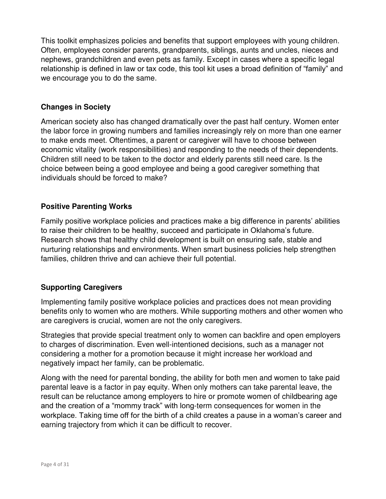This toolkit emphasizes policies and benefits that support employees with young children. Often, employees consider parents, grandparents, siblings, aunts and uncles, nieces and nephews, grandchildren and even pets as family. Except in cases where a specific legal relationship is defined in law or tax code, this tool kit uses a broad definition of "family" and we encourage you to do the same.

#### **Changes in Society**

American society also has changed dramatically over the past half century. Women enter the labor force in growing numbers and families increasingly rely on more than one earner to make ends meet. Oftentimes, a parent or caregiver will have to choose between economic vitality (work responsibilities) and responding to the needs of their dependents. Children still need to be taken to the doctor and elderly parents still need care. Is the choice between being a good employee and being a good caregiver something that individuals should be forced to make?

#### **Positive Parenting Works**

Family positive workplace policies and practices make a big difference in parents' abilities to raise their children to be healthy, succeed and participate in Oklahoma's future. Research shows that healthy child development is built on ensuring safe, stable and nurturing relationships and environments. When smart business policies help strengthen families, children thrive and can achieve their full potential.

#### **Supporting Caregivers**

Implementing family positive workplace policies and practices does not mean providing benefits only to women who are mothers. While supporting mothers and other women who are caregivers is crucial, women are not the only caregivers.

Strategies that provide special treatment only to women can backfire and open employers to charges of discrimination. Even well-intentioned decisions, such as a manager not considering a mother for a promotion because it might increase her workload and negatively impact her family, can be problematic.

Along with the need for parental bonding, the ability for both men and women to take paid parental leave is a factor in pay equity. When only mothers can take parental leave, the result can be reluctance among employers to hire or promote women of childbearing age and the creation of a "mommy track" with long-term consequences for women in the workplace. Taking time off for the birth of a child creates a pause in a woman's career and earning trajectory from which it can be difficult to recover.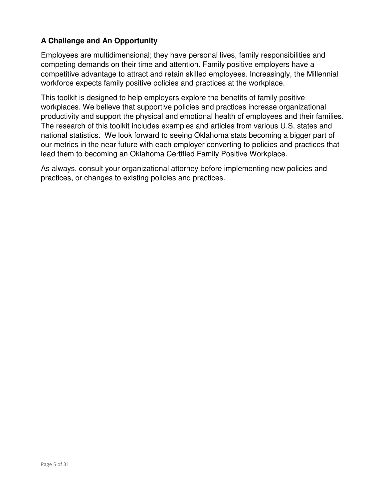#### **A Challenge and An Opportunity**

Employees are multidimensional; they have personal lives, family responsibilities and competing demands on their time and attention. Family positive employers have a competitive advantage to attract and retain skilled employees. Increasingly, the Millennial workforce expects family positive policies and practices at the workplace.

This toolkit is designed to help employers explore the benefits of family positive workplaces. We believe that supportive policies and practices increase organizational productivity and support the physical and emotional health of employees and their families. The research of this toolkit includes examples and articles from various U.S. states and national statistics. We look forward to seeing Oklahoma stats becoming a bigger part of our metrics in the near future with each employer converting to policies and practices that lead them to becoming an Oklahoma Certified Family Positive Workplace.

As always, consult your organizational attorney before implementing new policies and practices, or changes to existing policies and practices.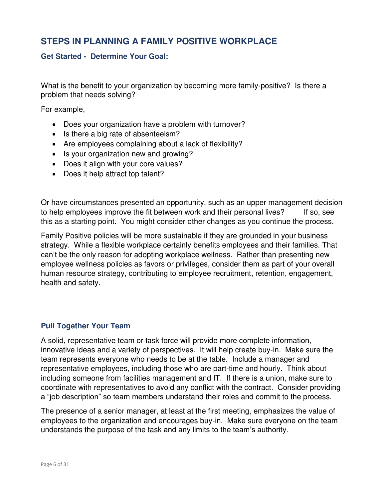#### **STEPS IN PLANNING A FAMILY POSITIVE WORKPLACE**

#### **Get Started - Determine Your Goal:**

What is the benefit to your organization by becoming more family-positive? Is there a problem that needs solving?

For example,

- Does your organization have a problem with turnover?
- Is there a big rate of absenteeism?
- Are employees complaining about a lack of flexibility?
- Is your organization new and growing?
- Does it align with your core values?
- Does it help attract top talent?

Or have circumstances presented an opportunity, such as an upper management decision to help employees improve the fit between work and their personal lives? If so, see this as a starting point. You might consider other changes as you continue the process.

Family Positive policies will be more sustainable if they are grounded in your business strategy. While a flexible workplace certainly benefits employees and their families. That can't be the only reason for adopting workplace wellness. Rather than presenting new employee wellness policies as favors or privileges, consider them as part of your overall human resource strategy, contributing to employee recruitment, retention, engagement, health and safety.

#### **Pull Together Your Team**

A solid, representative team or task force will provide more complete information, innovative ideas and a variety of perspectives. It will help create buy-in. Make sure the team represents everyone who needs to be at the table. Include a manager and representative employees, including those who are part-time and hourly. Think about including someone from facilities management and IT. If there is a union, make sure to coordinate with representatives to avoid any conflict with the contract. Consider providing a "job description" so team members understand their roles and commit to the process.

The presence of a senior manager, at least at the first meeting, emphasizes the value of employees to the organization and encourages buy-in. Make sure everyone on the team understands the purpose of the task and any limits to the team's authority.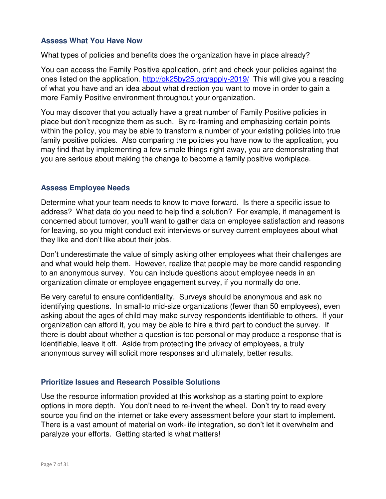#### **Assess What You Have Now**

What types of policies and benefits does the organization have in place already?

You can access the Family Positive application, print and check your policies against the ones listed on the application.<http://ok25by25.org/apply-2019/>This will give you a reading of what you have and an idea about what direction you want to move in order to gain a more Family Positive environment throughout your organization.

You may discover that you actually have a great number of Family Positive policies in place but don't recognize them as such. By re-framing and emphasizing certain points within the policy, you may be able to transform a number of your existing policies into true family positive policies. Also comparing the policies you have now to the application, you may find that by implementing a few simple things right away, you are demonstrating that you are serious about making the change to become a family positive workplace.

#### **Assess Employee Needs**

Determine what your team needs to know to move forward. Is there a specific issue to address? What data do you need to help find a solution? For example, if management is concerned about turnover, you'll want to gather data on employee satisfaction and reasons for leaving, so you might conduct exit interviews or survey current employees about what they like and don't like about their jobs.

Don't underestimate the value of simply asking other employees what their challenges are and what would help them. However, realize that people may be more candid responding to an anonymous survey. You can include questions about employee needs in an organization climate or employee engagement survey, if you normally do one.

Be very careful to ensure confidentiality. Surveys should be anonymous and ask no identifying questions. In small-to mid-size organizations (fewer than 50 employees), even asking about the ages of child may make survey respondents identifiable to others. If your organization can afford it, you may be able to hire a third part to conduct the survey. If there is doubt about whether a question is too personal or may produce a response that is identifiable, leave it off. Aside from protecting the privacy of employees, a truly anonymous survey will solicit more responses and ultimately, better results.

#### **Prioritize Issues and Research Possible Solutions**

Use the resource information provided at this workshop as a starting point to explore options in more depth. You don't need to re-invent the wheel. Don't try to read every source you find on the internet or take every assessment before your start to implement. There is a vast amount of material on work-life integration, so don't let it overwhelm and paralyze your efforts. Getting started is what matters!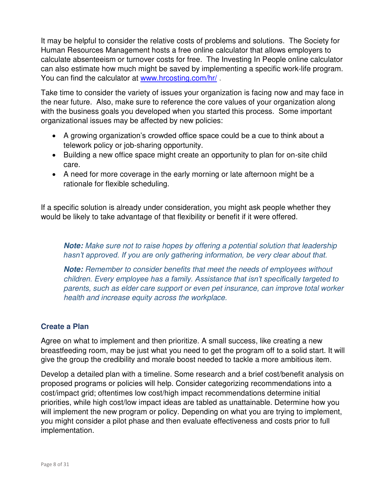It may be helpful to consider the relative costs of problems and solutions. The Society for Human Resources Management hosts a free online calculator that allows employers to calculate absenteeism or turnover costs for free. The Investing In People online calculator can also estimate how much might be saved by implementing a specific work-life program. You can find the calculator at www.hrcosting.com/hr/.

Take time to consider the variety of issues your organization is facing now and may face in the near future. Also, make sure to reference the core values of your organization along with the business goals you developed when you started this process. Some important organizational issues may be affected by new policies:

- A growing organization's crowded office space could be a cue to think about a telework policy or job-sharing opportunity.
- Building a new office space might create an opportunity to plan for on-site child care.
- A need for more coverage in the early morning or late afternoon might be a rationale for flexible scheduling.

If a specific solution is already under consideration, you might ask people whether they would be likely to take advantage of that flexibility or benefit if it were offered.

**Note:** Make sure not to raise hopes by offering a potential solution that leadership *hasn't approved. If you are only gathering information, be very clear about that.*

**Note:** Remember to consider benefits that meet the needs of employees without children. Every em*ployee has a family. Assistance that isn't specifically targeted to*  parents, such as elder care support or even pet insurance, can improve total worker health and increase equity across the workplace.

#### **Create a Plan**

Agree on what to implement and then prioritize. A small success, like creating a new breastfeeding room, may be just what you need to get the program off to a solid start. It will give the group the credibility and morale boost needed to tackle a more ambitious item.

Develop a detailed plan with a timeline. Some research and a brief cost/benefit analysis on proposed programs or policies will help. Consider categorizing recommendations into a cost/impact grid; oftentimes low cost/high impact recommendations determine initial priorities, while high cost/low impact ideas are tabled as unattainable. Determine how you will implement the new program or policy. Depending on what you are trying to implement, you might consider a pilot phase and then evaluate effectiveness and costs prior to full implementation.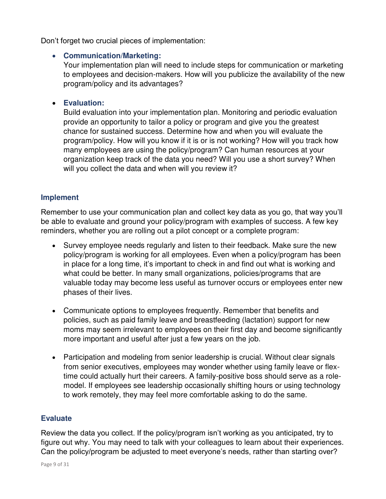Don't forget two crucial pieces of implementation:

#### **Communication/Marketing:**

Your implementation plan will need to include steps for communication or marketing to employees and decision-makers. How will you publicize the availability of the new program/policy and its advantages?

#### **Evaluation:**

Build evaluation into your implementation plan. Monitoring and periodic evaluation provide an opportunity to tailor a policy or program and give you the greatest chance for sustained success. Determine how and when you will evaluate the program/policy. How will you know if it is or is not working? How will you track how many employees are using the policy/program? Can human resources at your organization keep track of the data you need? Will you use a short survey? When will you collect the data and when will you review it?

#### **Implement**

Remember to use your communication plan and collect key data as you go, that way you'll be able to evaluate and ground your policy/program with examples of success. A few key reminders, whether you are rolling out a pilot concept or a complete program:

- Survey employee needs regularly and listen to their feedback. Make sure the new policy/program is working for all employees. Even when a policy/program has been in place for a long time, it's important to check in and find out what is working and what could be better. In many small organizations, policies/programs that are valuable today may become less useful as turnover occurs or employees enter new phases of their lives.
- Communicate options to employees frequently. Remember that benefits and policies, such as paid family leave and breastfeeding (lactation) support for new moms may seem irrelevant to employees on their first day and become significantly more important and useful after just a few years on the job.
- Participation and modeling from senior leadership is crucial. Without clear signals from senior executives, employees may wonder whether using family leave or flextime could actually hurt their careers. A family-positive boss should serve as a rolemodel. If employees see leadership occasionally shifting hours or using technology to work remotely, they may feel more comfortable asking to do the same.

#### **Evaluate**

Review the data you collect. If the policy/program isn't working as you anticipated, try to figure out why. You may need to talk with your colleagues to learn about their experiences. Can the policy/program be adjusted to meet everyone's needs, rather than starting over?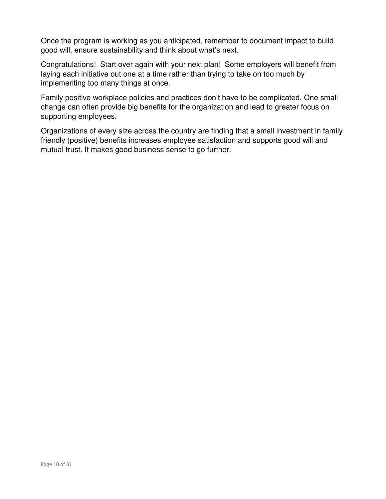Once the program is working as you anticipated, remember to document impact to build good will, ensure sustainability and think about what's next.

Congratulations! Start over again with your next plan! Some employers will benefit from laying each initiative out one at a time rather than trying to take on too much by implementing too many things at once.

Family positive workplace policies and practices don't have to be complicated. One small change can often provide big benefits for the organization and lead to greater focus on supporting employees.

Organizations of every size across the country are finding that a small investment in family friendly (positive) benefits increases employee satisfaction and supports good will and mutual trust. It makes good business sense to go further.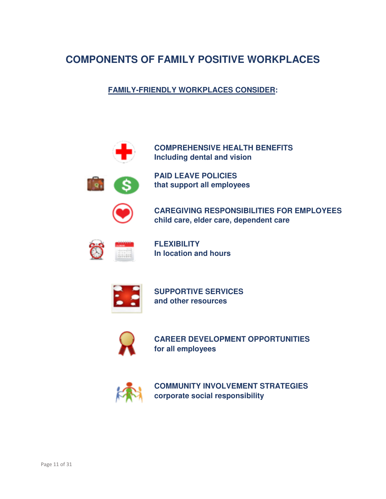### **COMPONENTS OF FAMILY POSITIVE WORKPLACES**

**FAMILY-FRIENDLY WORKPLACES CONSIDER:** 





 **PAID LEAVE POLICIES that support all employees** 

 **CAREGIVING RESPONSIBILITIES FOR EMPLOYEES child care, elder care, dependent care** 



 **FLEXIBILITY In location and hours** 



 **SUPPORTIVE SERVICES and other resources** 



 **CAREER DEVELOPMENT OPPORTUNITIES for all employees** 



 **COMMUNITY INVOLVEMENT STRATEGIES corporate social responsibility**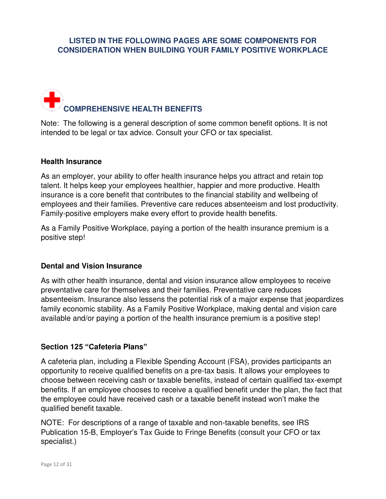#### **LISTED IN THE FOLLOWING PAGES ARE SOME COMPONENTS FOR CONSIDERATION WHEN BUILDING YOUR FAMILY POSITIVE WORKPLACE**

# **COMPREHENSIVE HEALTH BENEFITS**

Note: The following is a general description of some common benefit options. It is not intended to be legal or tax advice. Consult your CFO or tax specialist.

#### **Health Insurance**

As an employer, your ability to offer health insurance helps you attract and retain top talent. It helps keep your employees healthier, happier and more productive. Health insurance is a core benefit that contributes to the financial stability and wellbeing of employees and their families. Preventive care reduces absenteeism and lost productivity. Family-positive employers make every effort to provide health benefits.

As a Family Positive Workplace, paying a portion of the health insurance premium is a positive step!

#### **Dental and Vision Insurance**

As with other health insurance, dental and vision insurance allow employees to receive preventative care for themselves and their families. Preventative care reduces absenteeism. Insurance also lessens the potential risk of a major expense that jeopardizes family economic stability. As a Family Positive Workplace, making dental and vision care available and/or paying a portion of the health insurance premium is a positive step!

#### **Section 125 "Cafeteria Plans"**

A cafeteria plan, including a Flexible Spending Account (FSA), provides participants an opportunity to receive qualified benefits on a pre-tax basis. It allows your employees to choose between receiving cash or taxable benefits, instead of certain qualified tax-exempt benefits. If an employee chooses to receive a qualified benefit under the plan, the fact that the employee could have received cash or a taxable benefit instead won't make the qualified benefit taxable.

NOTE: For descriptions of a range of taxable and non-taxable benefits, see IRS Publication 15-B, Employer's Tax Guide to Fringe Benefits (consult your CFO or tax specialist.)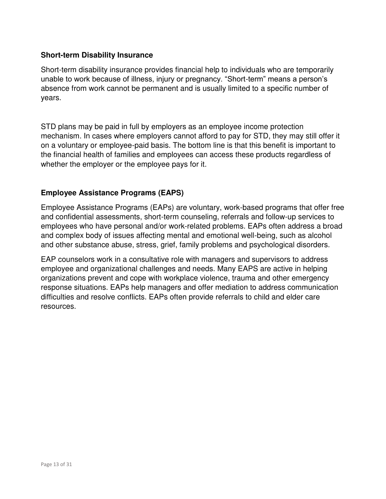#### **Short-term Disability Insurance**

Short-term disability insurance provides financial help to individuals who are temporarily unable to work because of illness, injury or pregnancy. "Short-term" means a person's absence from work cannot be permanent and is usually limited to a specific number of years.

STD plans may be paid in full by employers as an employee income protection mechanism. In cases where employers cannot afford to pay for STD, they may still offer it on a voluntary or employee-paid basis. The bottom line is that this benefit is important to the financial health of families and employees can access these products regardless of whether the employer or the employee pays for it.

#### **Employee Assistance Programs (EAPS)**

Employee Assistance Programs (EAPs) are voluntary, work-based programs that offer free and confidential assessments, short-term counseling, referrals and follow-up services to employees who have personal and/or work-related problems. EAPs often address a broad and complex body of issues affecting mental and emotional well-being, such as alcohol and other substance abuse, stress, grief, family problems and psychological disorders.

EAP counselors work in a consultative role with managers and supervisors to address employee and organizational challenges and needs. Many EAPS are active in helping organizations prevent and cope with workplace violence, trauma and other emergency response situations. EAPs help managers and offer mediation to address communication difficulties and resolve conflicts. EAPs often provide referrals to child and elder care resources.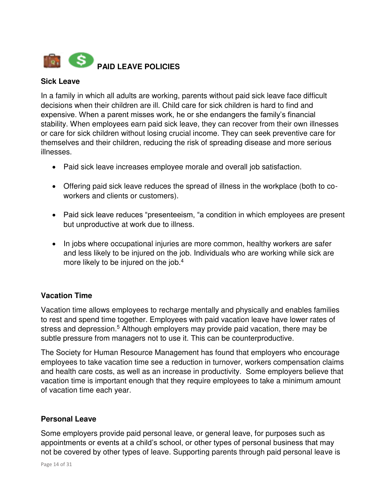

#### **Sick Leave**

In a family in which all adults are working, parents without paid sick leave face difficult decisions when their children are ill. Child care for sick children is hard to find and expensive. When a parent misses work, he or she endangers the family's financial stability. When employees earn paid sick leave, they can recover from their own illnesses or care for sick children without losing crucial income. They can seek preventive care for themselves and their children, reducing the risk of spreading disease and more serious illnesses.

- Paid sick leave increases employee morale and overall job satisfaction.
- Offering paid sick leave reduces the spread of illness in the workplace (both to coworkers and clients or customers).
- Paid sick leave reduces "presenteeism, "a condition in which employees are present but unproductive at work due to illness.
- In jobs where occupational injuries are more common, healthy workers are safer and less likely to be injured on the job. Individuals who are working while sick are more likely to be injured on the job.<sup>4</sup>

#### **Vacation Time**

Vacation time allows employees to recharge mentally and physically and enables families to rest and spend time together. Employees with paid vacation leave have lower rates of stress and depression.<sup>5</sup> Although employers may provide paid vacation, there may be subtle pressure from managers not to use it. This can be counterproductive.

The Society for Human Resource Management has found that employers who encourage employees to take vacation time see a reduction in turnover, workers compensation claims and health care costs, as well as an increase in productivity. Some employers believe that vacation time is important enough that they require employees to take a minimum amount of vacation time each year.

#### **Personal Leave**

Some employers provide paid personal leave, or general leave, for purposes such as appointments or events at a child's school, or other types of personal business that may not be covered by other types of leave. Supporting parents through paid personal leave is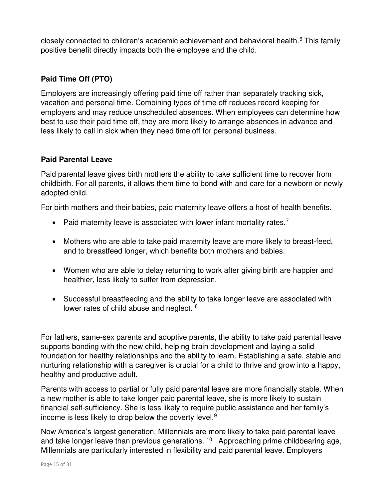closely connected to children's academic achievement and behavioral health.<sup>6</sup> This family positive benefit directly impacts both the employee and the child.

#### **Paid Time Off (PTO)**

Employers are increasingly offering paid time off rather than separately tracking sick, vacation and personal time. Combining types of time off reduces record keeping for employers and may reduce unscheduled absences. When employees can determine how best to use their paid time off, they are more likely to arrange absences in advance and less likely to call in sick when they need time off for personal business.

#### **Paid Parental Leave**

Paid parental leave gives birth mothers the ability to take sufficient time to recover from childbirth. For all parents, it allows them time to bond with and care for a newborn or newly adopted child.

For birth mothers and their babies, paid maternity leave offers a host of health benefits.

- Paid maternity leave is associated with lower infant mortality rates. $7$
- Mothers who are able to take paid maternity leave are more likely to breast-feed, and to breastfeed longer, which benefits both mothers and babies.
- Women who are able to delay returning to work after giving birth are happier and healthier, less likely to suffer from depression.
- Successful breastfeeding and the ability to take longer leave are associated with lower rates of child abuse and neglect. <sup>8</sup>

For fathers, same-sex parents and adoptive parents, the ability to take paid parental leave supports bonding with the new child, helping brain development and laying a solid foundation for healthy relationships and the ability to learn. Establishing a safe, stable and nurturing relationship with a caregiver is crucial for a child to thrive and grow into a happy, healthy and productive adult.

Parents with access to partial or fully paid parental leave are more financially stable. When a new mother is able to take longer paid parental leave, she is more likely to sustain financial self-sufficiency. She is less likely to require public assistance and her family's income is less likely to drop below the poverty level.<sup>9</sup>

Now America's largest generation, Millennials are more likely to take paid parental leave and take longer leave than previous generations. <sup>10</sup> Approaching prime childbearing age, Millennials are particularly interested in flexibility and paid parental leave. Employers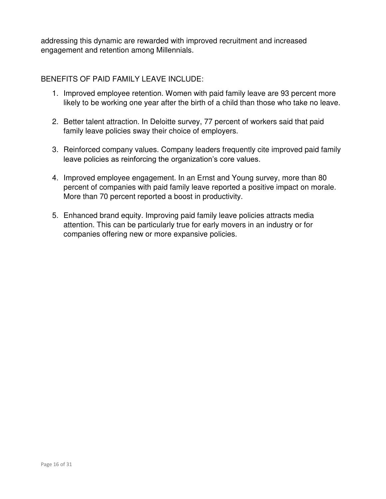addressing this dynamic are rewarded with improved recruitment and increased engagement and retention among Millennials.

#### BENEFITS OF PAID FAMILY LEAVE INCLUDE:

- 1. Improved employee retention. Women with paid family leave are 93 percent more likely to be working one year after the birth of a child than those who take no leave.
- 2. Better talent attraction. In Deloitte survey, 77 percent of workers said that paid family leave policies sway their choice of employers.
- 3. Reinforced company values. Company leaders frequently cite improved paid family leave policies as reinforcing the organization's core values.
- 4. Improved employee engagement. In an Ernst and Young survey, more than 80 percent of companies with paid family leave reported a positive impact on morale. More than 70 percent reported a boost in productivity.
- 5. Enhanced brand equity. Improving paid family leave policies attracts media attention. This can be particularly true for early movers in an industry or for companies offering new or more expansive policies.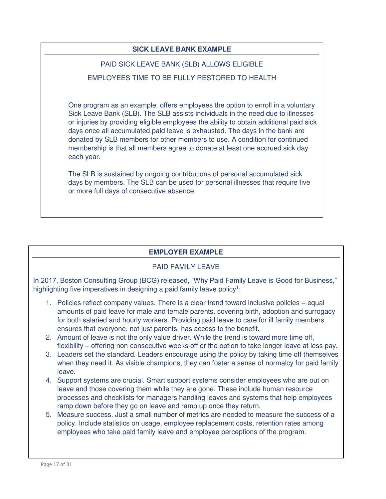#### **SICK LEAVE BANK EXAMPLE**

#### PAID SICK LEAVE BANK (SLB) ALLOWS ELIGIBLE

#### EMPLOYEES TIME TO BE FULLY RESTORED TO HEALTH

One program as an example, offers employees the option to enroll in a voluntary Sick Leave Bank (SLB). The SLB assists individuals in the need due to illnesses or injuries by providing eligible employees the ability to obtain additional paid sick days once all accumulated paid leave is exhausted. The days in the bank are donated by SLB members for other members to use. A condition for continued membership is that all members agree to donate at least one accrued sick day each year.

The SLB is sustained by ongoing contributions of personal accumulated sick days by members. The SLB can be used for personal illnesses that require five or more full days of consecutive absence.

#### **EMPLOYER EXAMPLE**

#### PAID FAMILY LEAVE

In 2017, Boston Consulting Group (BCG) released, "Why Paid Family Leave is Good for Business," highlighting five imperatives in designing a paid family leave policy<sup>1</sup>:

- 1. Policies reflect company values. There is a clear trend toward inclusive policies equal amounts of paid leave for male and female parents, covering birth, adoption and surrogacy for both salaried and hourly workers. Providing paid leave to care for ill family members ensures that everyone, not just parents, has access to the benefit.
- 2. Amount of leave is not the only value driver. While the trend is toward more time off, flexibility – offering non-consecutive weeks off or the option to take longer leave at less pay.
- 3. Leaders set the standard. Leaders encourage using the policy by taking time off themselves when they need it. As visible champions, they can foster a sense of normalcy for paid family leave.
- 4. Support systems are crucial. Smart support systems consider employees who are out on leave and those covering them while they are gone. These include human resource processes and checklists for managers handling leaves and systems that help employees ramp down before they go on leave and ramp up once they return.
- 5. Measure success. Just a small number of metrics are needed to measure the success of a policy. Include statistics on usage, employee replacement costs, retention rates among employees who take paid family leave and employee perceptions of the program.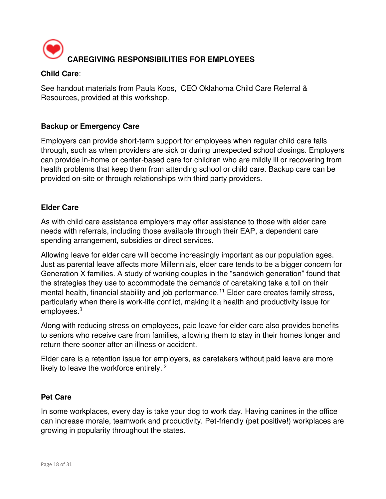

#### **Child Care**:

See handout materials from Paula Koos, CEO Oklahoma Child Care Referral & Resources, provided at this workshop.

#### **Backup or Emergency Care**

Employers can provide short-term support for employees when regular child care falls through, such as when providers are sick or during unexpected school closings. Employers can provide in-home or center-based care for children who are mildly ill or recovering from health problems that keep them from attending school or child care. Backup care can be provided on-site or through relationships with third party providers.

#### **Elder Care**

As with child care assistance employers may offer assistance to those with elder care needs with referrals, including those available through their EAP, a dependent care spending arrangement, subsidies or direct services.

Allowing leave for elder care will become increasingly important as our population ages. Just as parental leave affects more Millennials, elder care tends to be a bigger concern for Generation X families. A study of working couples in the "sandwich generation" found that the strategies they use to accommodate the demands of caretaking take a toll on their mental health, financial stability and job performance.<sup>11</sup> Elder care creates family stress, particularly when there is work-life conflict, making it a health and productivity issue for employees.<sup>3</sup>

Along with reducing stress on employees, paid leave for elder care also provides benefits to seniors who receive care from families, allowing them to stay in their homes longer and return there sooner after an illness or accident.

Elder care is a retention issue for employers, as caretakers without paid leave are more likely to leave the workforce entirely.<sup>2</sup>

#### **Pet Care**

In some workplaces, every day is take your dog to work day. Having canines in the office can increase morale, teamwork and productivity. Pet-friendly (pet positive!) workplaces are growing in popularity throughout the states.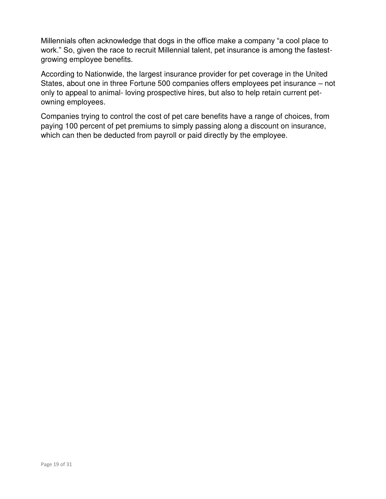Millennials often acknowledge that dogs in the office make a company "a cool place to work." So, given the race to recruit Millennial talent, pet insurance is among the fastestgrowing employee benefits.

According to Nationwide, the largest insurance provider for pet coverage in the United States, about one in three Fortune 500 companies offers employees pet insurance – not only to appeal to animal- loving prospective hires, but also to help retain current petowning employees.

Companies trying to control the cost of pet care benefits have a range of choices, from paying 100 percent of pet premiums to simply passing along a discount on insurance, which can then be deducted from payroll or paid directly by the employee.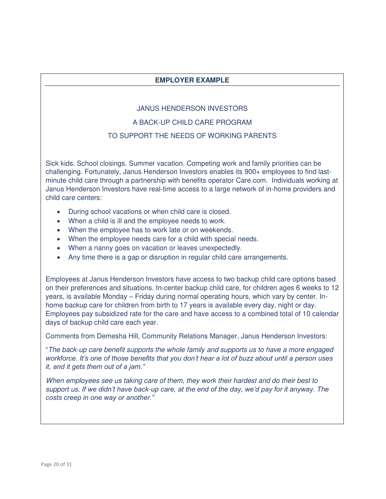#### **EMPLOYER EXAMPLE**

#### JANUS HENDERSON INVESTORS

#### A BACK-UP CHILD CARE PROGRAM

#### TO SUPPORT THE NEEDS OF WORKING PARENTS

Sick kids. School closings. Summer vacation. Competing work and family priorities can be challenging. Fortunately, Janus Henderson Investors enables its 900+ employees to find lastminute child care through a partnership with benefits operator Care.com. Individuals working at Janus Henderson Investors have real-time access to a large network of in-home providers and child care centers:

- During school vacations or when child care is closed.
- When a child is ill and the employee needs to work.
- When the employee has to work late or on weekends.
- When the employee needs care for a child with special needs.
- When a nanny goes on vacation or leaves unexpectedly.
- Any time there is a gap or disruption in regular child care arrangements.

Employees at Janus Henderson Investors have access to two backup child care options based on their preferences and situations. In-center backup child care, for children ages 6 weeks to 12 years, is available Monday – Friday during normal operating hours, which vary by center. Inhome backup care for children from birth to 17 years is available every day, night or day. Employees pay subsidized rate for the care and have access to a combined total of 10 calendar days of backup child care each year.

Comments from Demesha Hill, Community Relations Manager, Janus Henderson Investors:

"The back-up care benefit supports the whole family and supports us to have a more engaged *workforce. It's one of those benefits that you don't hear a lot of buzz about until a person uses it, and it gets them out of a jam."*

When employees see us taking care of them, they work their hardest and do their best to support us. *If we didn't have back*-*up care, at the end of the day, we'd pay for it anyway. The costs creep in one way or another."*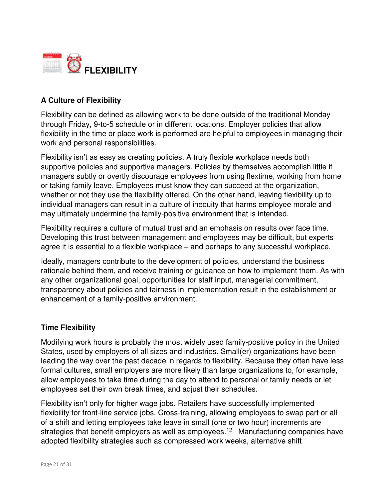

#### **A Culture of Flexibility**

Flexibility can be defined as allowing work to be done outside of the traditional Monday through Friday, 9-to-5 schedule or in different locations. Employer policies that allow flexibility in the time or place work is performed are helpful to employees in managing their work and personal responsibilities.

Flexibility isn't as easy as creating policies. A truly flexible workplace needs both supportive policies and supportive managers. Policies by themselves accomplish little if managers subtly or overtly discourage employees from using flextime, working from home or taking family leave. Employees must know they can succeed at the organization, whether or not they use the flexibility offered. On the other hand, leaving flexibility up to individual managers can result in a culture of inequity that harms employee morale and may ultimately undermine the family-positive environment that is intended.

Flexibility requires a culture of mutual trust and an emphasis on results over face time. Developing this trust between management and employees may be difficult, but experts agree it is essential to a flexible workplace – and perhaps to any successful workplace.

Ideally, managers contribute to the development of policies, understand the business rationale behind them, and receive training or guidance on how to implement them. As with any other organizational goal, opportunities for staff input, managerial commitment, transparency about policies and fairness in implementation result in the establishment or enhancement of a family-positive environment.

#### **Time Flexibility**

Modifying work hours is probably the most widely used family-positive policy in the United States, used by employers of all sizes and industries. Small(er) organizations have been leading the way over the past decade in regards to flexibility. Because they often have less formal cultures, small employers are more likely than large organizations to, for example, allow employees to take time during the day to attend to personal or family needs or let employees set their own break times, and adjust their schedules.

Flexibility isn't only for higher wage jobs. Retailers have successfully implemented flexibility for front-line service jobs. Cross-training, allowing employees to swap part or all of a shift and letting employees take leave in small (one or two hour) increments are strategies that benefit employers as well as employees.<sup>12</sup> Manufacturing companies have adopted flexibility strategies such as compressed work weeks, alternative shift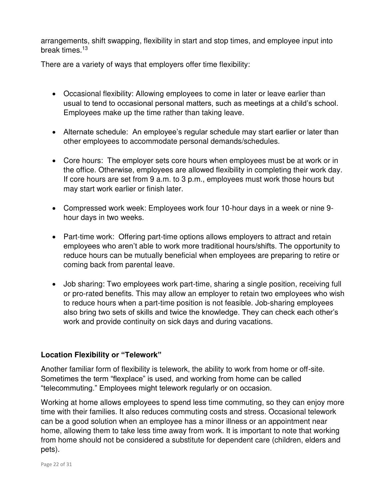arrangements, shift swapping, flexibility in start and stop times, and employee input into break times.<sup>13</sup>

There are a variety of ways that employers offer time flexibility:

- Occasional flexibility: Allowing employees to come in later or leave earlier than usual to tend to occasional personal matters, such as meetings at a child's school. Employees make up the time rather than taking leave.
- Alternate schedule: An employee's regular schedule may start earlier or later than other employees to accommodate personal demands/schedules.
- Core hours: The employer sets core hours when employees must be at work or in the office. Otherwise, employees are allowed flexibility in completing their work day. If core hours are set from 9 a.m. to 3 p.m., employees must work those hours but may start work earlier or finish later.
- Compressed work week: Employees work four 10-hour days in a week or nine 9 hour days in two weeks.
- Part-time work: Offering part-time options allows employers to attract and retain employees who aren't able to work more traditional hours/shifts. The opportunity to reduce hours can be mutually beneficial when employees are preparing to retire or coming back from parental leave.
- Job sharing: Two employees work part-time, sharing a single position, receiving full or pro-rated benefits. This may allow an employer to retain two employees who wish to reduce hours when a part-time position is not feasible. Job-sharing employees also bring two sets of skills and twice the knowledge. They can check each other's work and provide continuity on sick days and during vacations.

#### **Location Flexibility or "Telework"**

Another familiar form of flexibility is telework, the ability to work from home or off-site. Sometimes the term "flexplace" is used, and working from home can be called "telecommuting." Employees might telework regularly or on occasion.

Working at home allows employees to spend less time commuting, so they can enjoy more time with their families. It also reduces commuting costs and stress. Occasional telework can be a good solution when an employee has a minor illness or an appointment near home, allowing them to take less time away from work. It is important to note that working from home should not be considered a substitute for dependent care (children, elders and pets).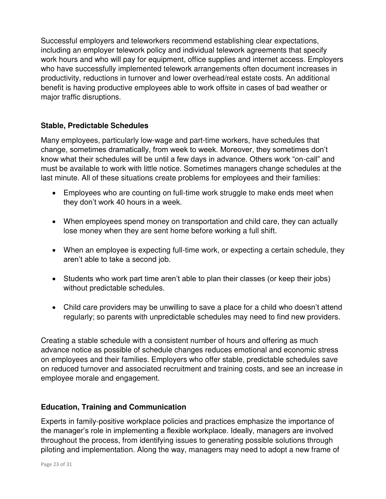Successful employers and teleworkers recommend establishing clear expectations, including an employer telework policy and individual telework agreements that specify work hours and who will pay for equipment, office supplies and internet access. Employers who have successfully implemented telework arrangements often document increases in productivity, reductions in turnover and lower overhead/real estate costs. An additional benefit is having productive employees able to work offsite in cases of bad weather or major traffic disruptions.

#### **Stable, Predictable Schedules**

Many employees, particularly low-wage and part-time workers, have schedules that change, sometimes dramatically, from week to week. Moreover, they sometimes don't know what their schedules will be until a few days in advance. Others work "on-call" and must be available to work with little notice. Sometimes managers change schedules at the last minute. All of these situations create problems for employees and their families:

- Employees who are counting on full-time work struggle to make ends meet when they don't work 40 hours in a week.
- When employees spend money on transportation and child care, they can actually lose money when they are sent home before working a full shift.
- When an employee is expecting full-time work, or expecting a certain schedule, they aren't able to take a second job.
- Students who work part time aren't able to plan their classes (or keep their jobs) without predictable schedules.
- Child care providers may be unwilling to save a place for a child who doesn't attend regularly; so parents with unpredictable schedules may need to find new providers.

Creating a stable schedule with a consistent number of hours and offering as much advance notice as possible of schedule changes reduces emotional and economic stress on employees and their families. Employers who offer stable, predictable schedules save on reduced turnover and associated recruitment and training costs, and see an increase in employee morale and engagement.

#### **Education, Training and Communication**

Experts in family-positive workplace policies and practices emphasize the importance of the manager's role in implementing a flexible workplace. Ideally, managers are involved throughout the process, from identifying issues to generating possible solutions through piloting and implementation. Along the way, managers may need to adopt a new frame of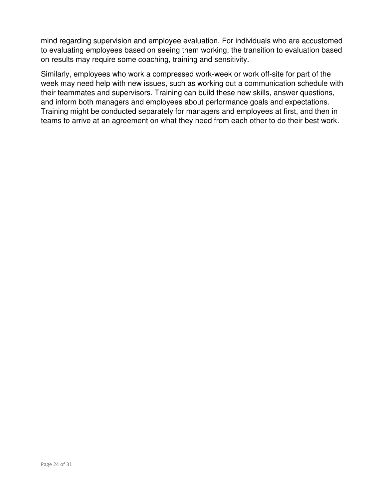mind regarding supervision and employee evaluation. For individuals who are accustomed to evaluating employees based on seeing them working, the transition to evaluation based on results may require some coaching, training and sensitivity.

Similarly, employees who work a compressed work-week or work off-site for part of the week may need help with new issues, such as working out a communication schedule with their teammates and supervisors. Training can build these new skills, answer questions, and inform both managers and employees about performance goals and expectations. Training might be conducted separately for managers and employees at first, and then in teams to arrive at an agreement on what they need from each other to do their best work.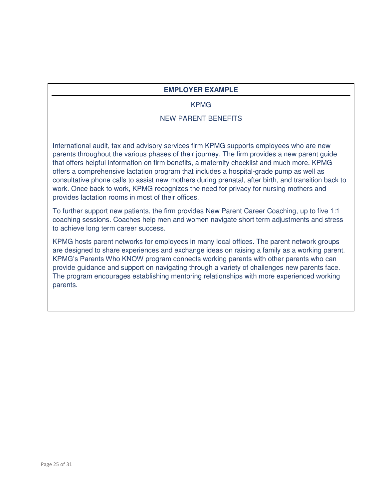#### **EMPLOYER EXAMPLE**

#### KPMG

#### NEW PARENT BENEFITS

International audit, tax and advisory services firm KPMG supports employees who are new parents throughout the various phases of their journey. The firm provides a new parent guide that offers helpful information on firm benefits, a maternity checklist and much more. KPMG offers a comprehensive lactation program that includes a hospital-grade pump as well as consultative phone calls to assist new mothers during prenatal, after birth, and transition back to work. Once back to work, KPMG recognizes the need for privacy for nursing mothers and provides lactation rooms in most of their offices.

To further support new patients, the firm provides New Parent Career Coaching, up to five 1:1 coaching sessions. Coaches help men and women navigate short term adjustments and stress to achieve long term career success.

KPMG hosts parent networks for employees in many local offices. The parent network groups are designed to share experiences and exchange ideas on raising a family as a working parent. KPMG's Parents Who KNOW program connects working parents with other parents who can provide guidance and support on navigating through a variety of challenges new parents face. The program encourages establishing mentoring relationships with more experienced working parents.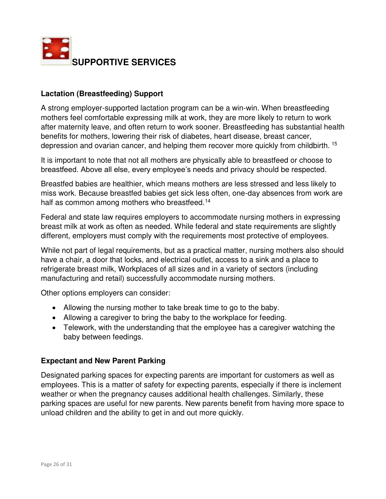

#### **Lactation (Breastfeeding) Support**

A strong employer-supported lactation program can be a win-win. When breastfeeding mothers feel comfortable expressing milk at work, they are more likely to return to work after maternity leave, and often return to work sooner. Breastfeeding has substantial health benefits for mothers, lowering their risk of diabetes, heart disease, breast cancer, depression and ovarian cancer, and helping them recover more quickly from childbirth. <sup>15</sup>

It is important to note that not all mothers are physically able to breastfeed or choose to breastfeed. Above all else, every employee's needs and privacy should be respected.

Breastfed babies are healthier, which means mothers are less stressed and less likely to miss work. Because breastfed babies get sick less often, one-day absences from work are half as common among mothers who breastfeed.<sup>14</sup>

Federal and state law requires employers to accommodate nursing mothers in expressing breast milk at work as often as needed. While federal and state requirements are slightly different, employers must comply with the requirements most protective of employees.

While not part of legal requirements, but as a practical matter, nursing mothers also should have a chair, a door that locks, and electrical outlet, access to a sink and a place to refrigerate breast milk, Workplaces of all sizes and in a variety of sectors (including manufacturing and retail) successfully accommodate nursing mothers.

Other options employers can consider:

- Allowing the nursing mother to take break time to go to the baby.
- Allowing a caregiver to bring the baby to the workplace for feeding.
- Telework, with the understanding that the employee has a caregiver watching the baby between feedings.

#### **Expectant and New Parent Parking**

Designated parking spaces for expecting parents are important for customers as well as employees. This is a matter of safety for expecting parents, especially if there is inclement weather or when the pregnancy causes additional health challenges. Similarly, these parking spaces are useful for new parents. New parents benefit from having more space to unload children and the ability to get in and out more quickly.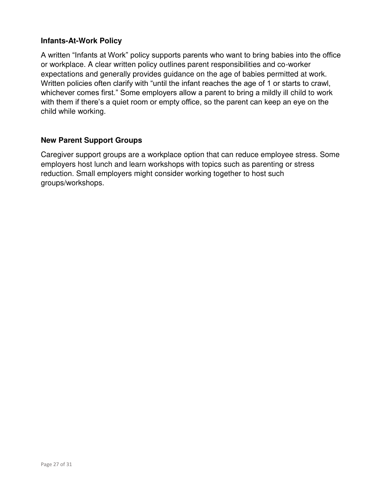#### **Infants-At-Work Policy**

A written "Infants at Work" policy supports parents who want to bring babies into the office or workplace. A clear written policy outlines parent responsibilities and co-worker expectations and generally provides guidance on the age of babies permitted at work. Written policies often clarify with "until the infant reaches the age of 1 or starts to crawl, whichever comes first." Some employers allow a parent to bring a mildly ill child to work with them if there's a quiet room or empty office, so the parent can keep an eye on the child while working.

#### **New Parent Support Groups**

Caregiver support groups are a workplace option that can reduce employee stress. Some employers host lunch and learn workshops with topics such as parenting or stress reduction. Small employers might consider working together to host such groups/workshops.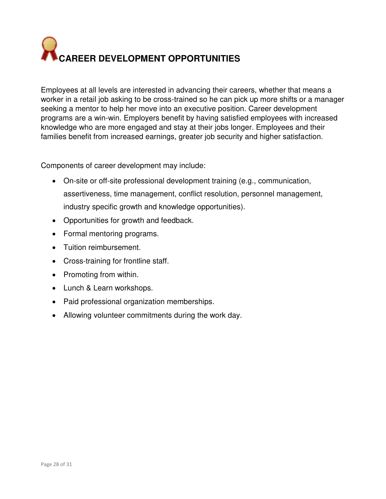# **CAREER DEVELOPMENT OPPORTUNITIES**

Employees at all levels are interested in advancing their careers, whether that means a worker in a retail job asking to be cross-trained so he can pick up more shifts or a manager seeking a mentor to help her move into an executive position. Career development programs are a win-win. Employers benefit by having satisfied employees with increased knowledge who are more engaged and stay at their jobs longer. Employees and their families benefit from increased earnings, greater job security and higher satisfaction.

Components of career development may include:

- On-site or off-site professional development training (e.g., communication, assertiveness, time management, conflict resolution, personnel management, industry specific growth and knowledge opportunities).
- Opportunities for growth and feedback.
- Formal mentoring programs.
- Tuition reimbursement.
- Cross-training for frontline staff.
- Promoting from within.
- Lunch & Learn workshops.
- Paid professional organization memberships.
- Allowing volunteer commitments during the work day.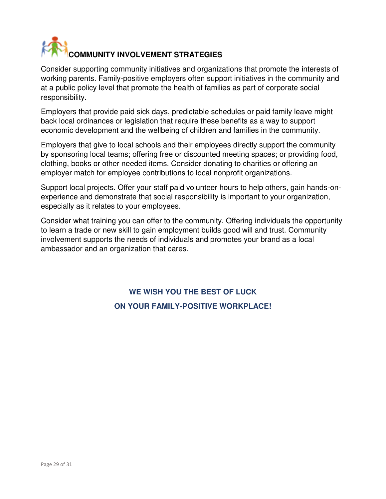# **COMMUNITY INVOLVEMENT STRATEGIES**

Consider supporting community initiatives and organizations that promote the interests of working parents. Family-positive employers often support initiatives in the community and at a public policy level that promote the health of families as part of corporate social responsibility.

Employers that provide paid sick days, predictable schedules or paid family leave might back local ordinances or legislation that require these benefits as a way to support economic development and the wellbeing of children and families in the community.

Employers that give to local schools and their employees directly support the community by sponsoring local teams; offering free or discounted meeting spaces; or providing food, clothing, books or other needed items. Consider donating to charities or offering an employer match for employee contributions to local nonprofit organizations.

Support local projects. Offer your staff paid volunteer hours to help others, gain hands-onexperience and demonstrate that social responsibility is important to your organization, especially as it relates to your employees.

Consider what training you can offer to the community. Offering individuals the opportunity to learn a trade or new skill to gain employment builds good will and trust. Community involvement supports the needs of individuals and promotes your brand as a local ambassador and an organization that cares.

## **WE WISH YOU THE BEST OF LUCK ON YOUR FAMILY-POSITIVE WORKPLACE!**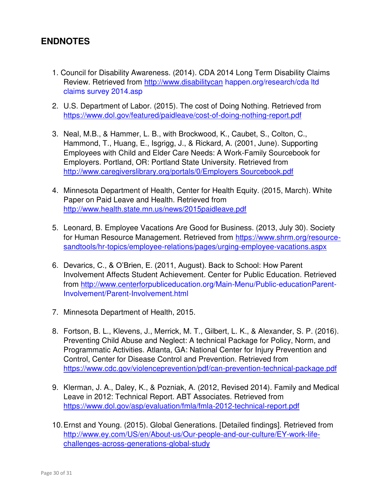#### **ENDNOTES**

- 1. Council for Disability Awareness. (2014). CDA 2014 Long Term Disability Claims Review. Retrieved from [http://www.disabilitycan](http://www.disabilitycan/) happen.org/research/cda ltd claims survey 2014.asp
- 2. U.S. Department of Labor. (2015). The cost of Doing Nothing. Retrieved from <https://www.dol.gov/featured/paidleave/cost-of-doing-nothing-report.pdf>
- 3. Neal, M.B., & Hammer, L. B., with Brockwood, K., Caubet, S., Colton, C., Hammond, T., Huang, E., Isgrigg, J., & Rickard, A. (2001, June). Supporting Employees with Child and Elder Care Needs: A Work-Family Sourcebook for Employers. Portland, OR: Portland State University. Retrieved from [http://www.caregiverslibrary.org/portals/0/Employers Sourcebook.pdf](http://www.caregiverslibrary.org/portals/0/Employers%20Sourcebook.pdf)
- 4. Minnesota Department of Health, Center for Health Equity. (2015, March). White Paper on Paid Leave and Health. Retrieved from <http://www.health.state.mn.us/news/2015paidleave.pdf>
- 5. Leonard, B. Employee Vacations Are Good for Business. (2013, July 30). Society for Human Resource Management. Retrieved from [https://www.shrm.org/resource](https://www.shrm.org/resource-sandtools/hr-topics/employee-relations/pages/urging-employee-vacations.aspx)[sandtools/hr-topics/employee-relations/pages/urging-employee-vacations.aspx](https://www.shrm.org/resource-sandtools/hr-topics/employee-relations/pages/urging-employee-vacations.aspx)
- 6. Devarics, C., & O'Brien, E. (2011, August). Back to School: How Parent Involvement Affects Student Achievement. Center for Public Education. Retrieved from [http://www.centerforp](http://www.centerfor/)ubliceducation.org/Main-Menu/Public-educationParent-Involvement/Parent-Involvement.html
- 7. Minnesota Department of Health, 2015.
- 8. Fortson, B. L., Klevens, J., Merrick, M. T., Gilbert, L. K., & Alexander, S. P. (2016). Preventing Child Abuse and Neglect: A technical Package for Policy, Norm, and Programmatic Activities. Atlanta, GA: National Center for Injury Prevention and Control, Center for Disease Control and Prevention. Retrieved from <https://www.cdc.gov/violenceprevention/pdf/can-prevention-technical-package.pdf>
- 9. Klerman, J. A., Daley, K., & Pozniak, A. (2012, Revised 2014). Family and Medical Leave in 2012: Technical Report. ABT Associates. Retrieved from <https://www.dol.gov/asp/evaluation/fmla/fmla-2012-technical-report.pdf>
- 10. Ernst and Young. (2015). Global Generations. [Detailed findings]. Retrieved from [http://www.ey.com/US/en/About-us/Our-people-and-our-culture/EY-work-life](http://www.ey.com/US/en/About-us/Our-people-and-our-culture/EY-work-life-challenges-across-generations-global-study)[challenges-across-generations-global-study](http://www.ey.com/US/en/About-us/Our-people-and-our-culture/EY-work-life-challenges-across-generations-global-study)